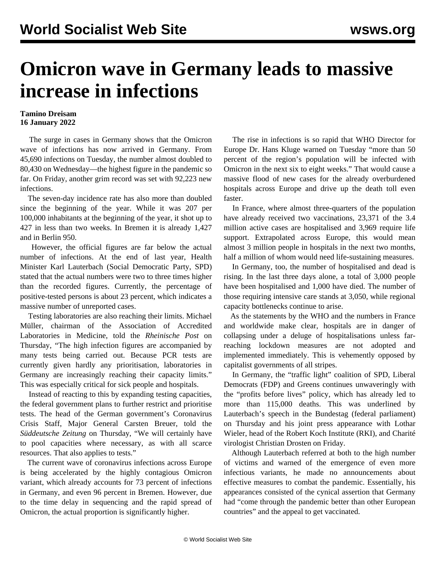## **Omicron wave in Germany leads to massive increase in infections**

## **Tamino Dreisam 16 January 2022**

 The surge in cases in Germany shows that the Omicron wave of infections has now arrived in Germany. From 45,690 infections on Tuesday, the number almost doubled to 80,430 on Wednesday—the highest figure in the pandemic so far. On Friday, another grim record was set with 92,223 new infections.

 The seven-day incidence rate has also more than doubled since the beginning of the year. While it was 207 per 100,000 inhabitants at the beginning of the year, it shot up to 427 in less than two weeks. In Bremen it is already 1,427 and in Berlin 950.

 However, the official figures are far below the actual number of infections. At the end of last year, Health Minister Karl Lauterbach (Social Democratic Party, SPD) stated that the actual numbers were two to three times higher than the recorded figures. Currently, the percentage of positive-tested persons is about 23 percent, which indicates a massive number of unreported cases.

 Testing laboratories are also reaching their limits. Michael Müller, chairman of the Association of Accredited Laboratories in Medicine, told the *Rheinische Post* on Thursday, "The high infection figures are accompanied by many tests being carried out. Because PCR tests are currently given hardly any prioritisation, laboratories in Germany are increasingly reaching their capacity limits." This was especially critical for sick people and hospitals.

 Instead of reacting to this by expanding testing capacities, the federal government plans to further restrict and prioritise tests. The head of the German government's Coronavirus Crisis Staff, [Major General Carsten Breuer,](/en/articles/2021/12/01/germ-d01.html) told the *Süddeutsche Zeitung* on Thursday, "We will certainly have to pool capacities where necessary, as with all scarce resources. That also applies to tests."

 The current wave of coronavirus infections across Europe is being accelerated by the highly contagious Omicron variant, which already accounts for 73 percent of infections in Germany, and even 96 percent in Bremen. However, due to the time delay in sequencing and the rapid spread of Omicron, the actual proportion is significantly higher.

 The rise in infections is so rapid that WHO Director for Europe Dr. Hans Kluge warned on Tuesday "more than 50 percent of the region's population will be infected with Omicron in the next six to eight weeks." That would cause a massive flood of new cases for the already overburdened hospitals across Europe and drive up the death toll even faster.

 In France, where almost three-quarters of the population have already received two vaccinations, 23,371 of the 3.4 million active cases are hospitalised and 3,969 require life support. Extrapolated across Europe, this would mean almost 3 million people in hospitals in the next two months, half a million of whom would need life-sustaining measures.

 In Germany, too, the number of hospitalised and dead is rising. In the last three days alone, a total of 3,000 people have been hospitalised and 1,000 have died. The number of those requiring intensive care stands at 3,050, while regional capacity bottlenecks continue to arise.

 As the statements by the WHO and the numbers in France and worldwide make clear, hospitals are in danger of collapsing under a deluge of hospitalisations unless farreaching lockdown measures are not adopted and implemented immediately. This is vehemently opposed by capitalist governments of all stripes.

 In Germany, the "traffic light" coalition of SPD, Liberal Democrats (FDP) and Greens continues unwaveringly with the "profits before lives" policy, which has already led to more than 115,000 deaths. This was underlined by Lauterbach's speech in the Bundestag (federal parliament) on Thursday and his joint press appearance with Lothar Wieler, head of the Robert Koch Institute (RKI), and Charité virologist Christian Drosten on Friday.

 Although Lauterbach referred at both to the high number of victims and warned of the emergence of even more infectious variants, he made no announcements about effective measures to combat the pandemic. Essentially, his appearances consisted of the cynical assertion that Germany had "come through the pandemic better than other European countries" and the appeal to get vaccinated.